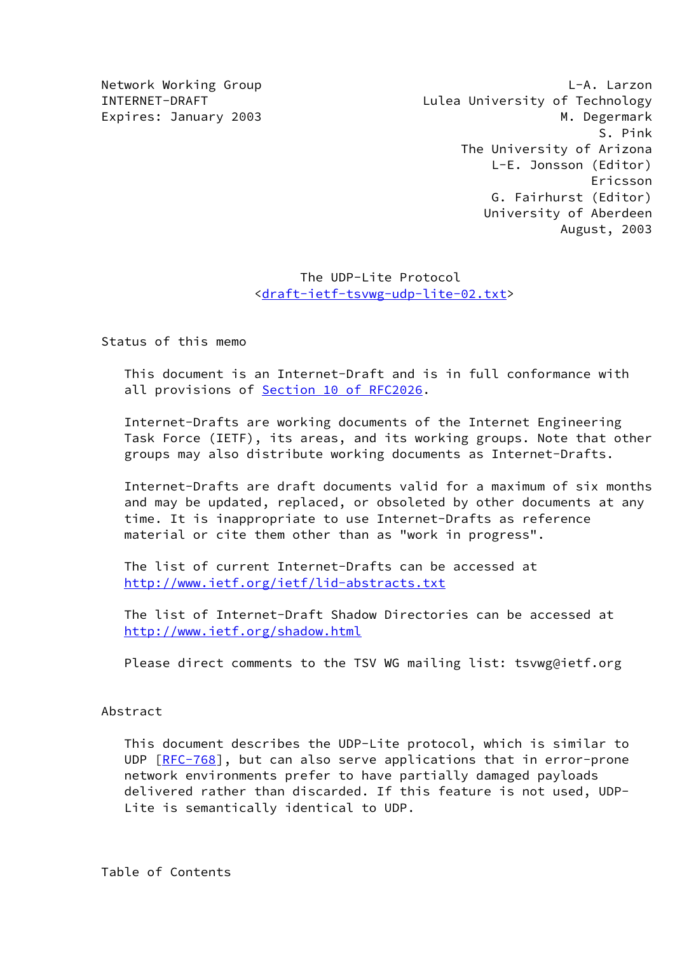Network Working Group Latter Communication of the L-A. Larzon INTERNET-DRAFT Lulea University of Technology Expires: January 2003 and the contract of the M. Degermark S. Pink The University of Arizona L-E. Jonsson (Editor) Ericsson G. Fairhurst (Editor) University of Aberdeen August, 2003

## The UDP-Lite Protocol [<draft-ietf-tsvwg-udp-lite-02.txt](https://datatracker.ietf.org/doc/pdf/draft-ietf-tsvwg-udp-lite-02.txt)>

Status of this memo

 This document is an Internet-Draft and is in full conformance with all provisions of **Section 10 of RFC2026**.

 Internet-Drafts are working documents of the Internet Engineering Task Force (IETF), its areas, and its working groups. Note that other groups may also distribute working documents as Internet-Drafts.

 Internet-Drafts are draft documents valid for a maximum of six months and may be updated, replaced, or obsoleted by other documents at any time. It is inappropriate to use Internet-Drafts as reference material or cite them other than as "work in progress".

 The list of current Internet-Drafts can be accessed at <http://www.ietf.org/ietf/lid-abstracts.txt>

 The list of Internet-Draft Shadow Directories can be accessed at <http://www.ietf.org/shadow.html>

Please direct comments to the TSV WG mailing list: tsvwg@ietf.org

#### Abstract

 This document describes the UDP-Lite protocol, which is similar to UDP  $[RFC-768]$  $[RFC-768]$ , but can also serve applications that in error-prone network environments prefer to have partially damaged payloads delivered rather than discarded. If this feature is not used, UDP- Lite is semantically identical to UDP.

Table of Contents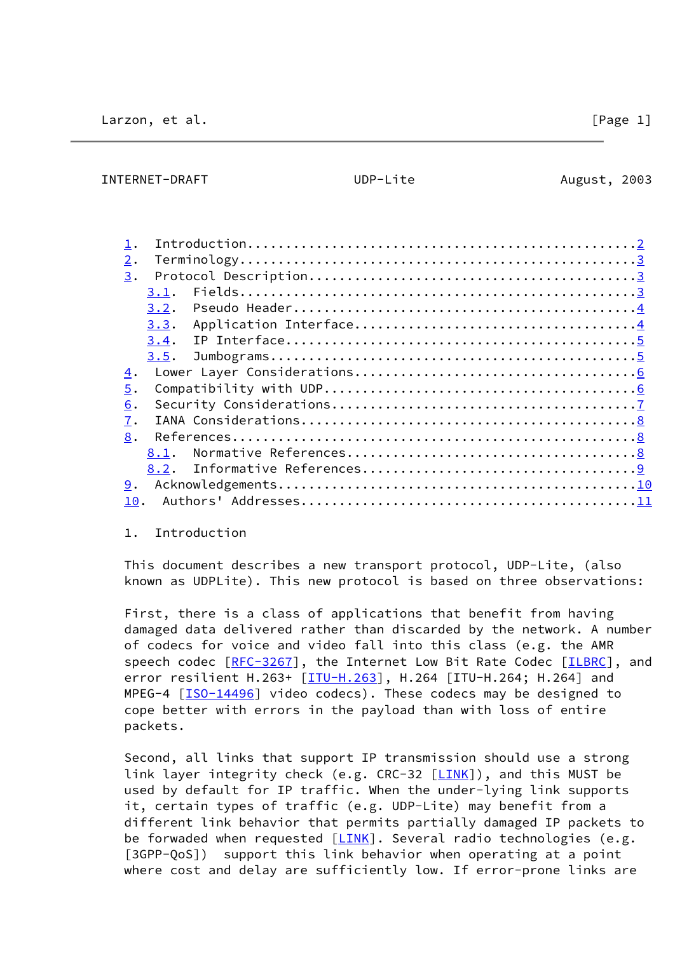<span id="page-1-0"></span>

#### 1. Introduction

 This document describes a new transport protocol, UDP-Lite, (also known as UDPLite). This new protocol is based on three observations:

 First, there is a class of applications that benefit from having damaged data delivered rather than discarded by the network. A number of codecs for voice and video fall into this class (e.g. the AMR speech codec [\[RFC-3267](https://datatracker.ietf.org/doc/pdf/rfc3267)], the Internet Low Bit Rate Codec [\[ILBRC\]](#page-10-2), and error resilient H.263+ [[ITU-H.263\]](#page-10-3), H.264 [ITU-H.264; H.264] and MPEG-4 [[ISO-14496\]](#page-10-4) video codecs). These codecs may be designed to cope better with errors in the payload than with loss of entire packets.

 Second, all links that support IP transmission should use a strong link layer integrity check (e.g. CRC-32 [\[LINK](#page-10-5)]), and this MUST be used by default for IP traffic. When the under-lying link supports it, certain types of traffic (e.g. UDP-Lite) may benefit from a different link behavior that permits partially damaged IP packets to be forwaded when requested  $[\overline{LINK}]$ . Several radio technologies (e.g. [3GPP-QoS]) support this link behavior when operating at a point where cost and delay are sufficiently low. If error-prone links are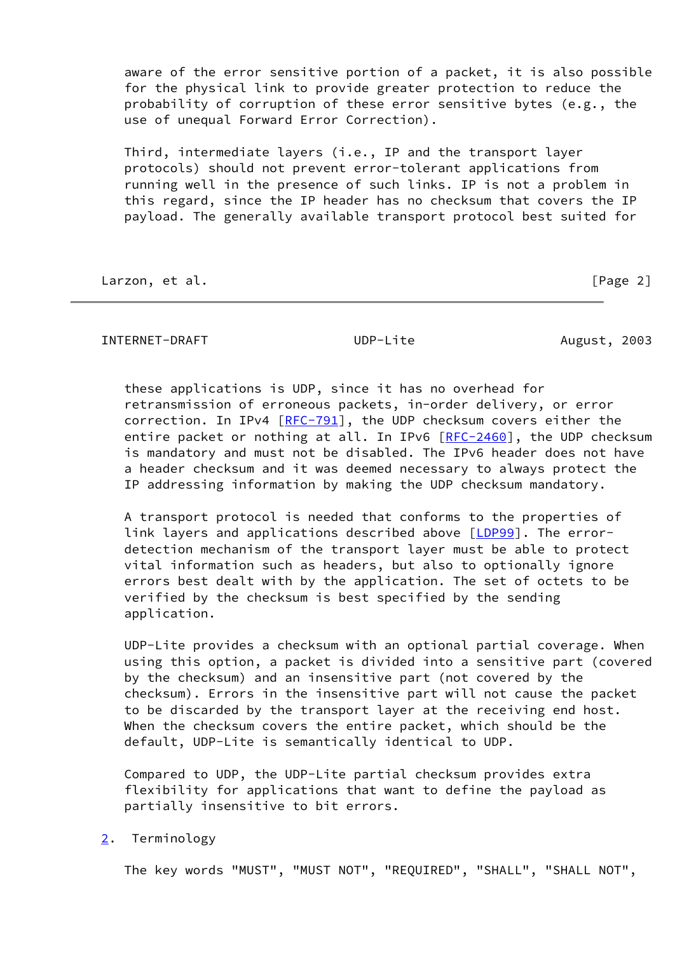aware of the error sensitive portion of a packet, it is also possible for the physical link to provide greater protection to reduce the probability of corruption of these error sensitive bytes (e.g., the use of unequal Forward Error Correction).

 Third, intermediate layers (i.e., IP and the transport layer protocols) should not prevent error-tolerant applications from running well in the presence of such links. IP is not a problem in this regard, since the IP header has no checksum that covers the IP payload. The generally available transport protocol best suited for

Larzon, et al. [Page 2]

<span id="page-2-1"></span>INTERNET-DRAFT UDP-Lite August, 2003

 these applications is UDP, since it has no overhead for retransmission of erroneous packets, in-order delivery, or error correction. In IPv4 [\[RFC-791](https://datatracker.ietf.org/doc/pdf/rfc791)], the UDP checksum covers either the entire packet or nothing at all. In IPv6 [\[RFC-2460](https://datatracker.ietf.org/doc/pdf/rfc2460)], the UDP checksum is mandatory and must not be disabled. The IPv6 header does not have a header checksum and it was deemed necessary to always protect the IP addressing information by making the UDP checksum mandatory.

 A transport protocol is needed that conforms to the properties of link layers and applications described above [\[LDP99\]](#page-11-3). The error detection mechanism of the transport layer must be able to protect vital information such as headers, but also to optionally ignore errors best dealt with by the application. The set of octets to be verified by the checksum is best specified by the sending application.

 UDP-Lite provides a checksum with an optional partial coverage. When using this option, a packet is divided into a sensitive part (covered by the checksum) and an insensitive part (not covered by the checksum). Errors in the insensitive part will not cause the packet to be discarded by the transport layer at the receiving end host. When the checksum covers the entire packet, which should be the default, UDP-Lite is semantically identical to UDP.

 Compared to UDP, the UDP-Lite partial checksum provides extra flexibility for applications that want to define the payload as partially insensitive to bit errors.

<span id="page-2-0"></span>[2](#page-2-0). Terminology

The key words "MUST", "MUST NOT", "REQUIRED", "SHALL", "SHALL NOT",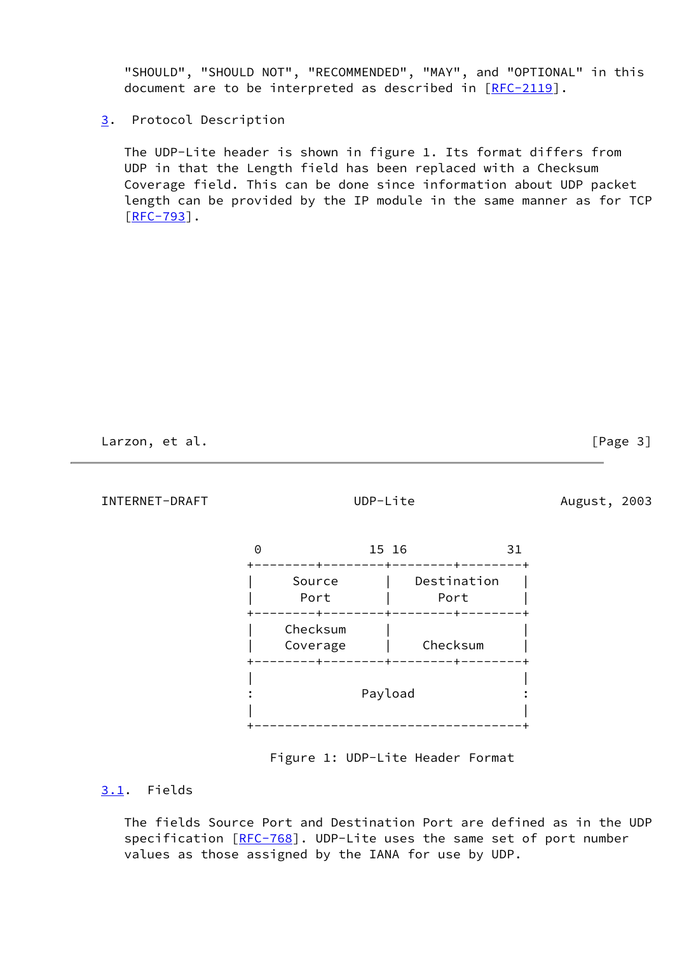"SHOULD", "SHOULD NOT", "RECOMMENDED", "MAY", and "OPTIONAL" in this document are to be interpreted as described in [[RFC-2119\]](https://datatracker.ietf.org/doc/pdf/rfc2119).

## <span id="page-3-0"></span>[3](#page-3-0). Protocol Description

 The UDP-Lite header is shown in figure 1. Its format differs from UDP in that the Length field has been replaced with a Checksum Coverage field. This can be done since information about UDP packet length can be provided by the IP module in the same manner as for TCP  $[RFC-793]$  $[RFC-793]$ .

Larzon, et al. [Page 3]

<span id="page-3-2"></span>INTERNET-DRAFT UDP-Lite August, 2003

|                       | 15 16                             | 31 |
|-----------------------|-----------------------------------|----|
| Source<br>Port<br>- + | Destination<br>Port<br>- + -<br>٠ |    |
| Checksum<br>Coverage  | Checksum                          |    |
|                       | Payload                           |    |

Figure 1: UDP-Lite Header Format

# <span id="page-3-1"></span>[3.1](#page-3-1). Fields

 The fields Source Port and Destination Port are defined as in the UDP specification [[RFC-768](https://datatracker.ietf.org/doc/pdf/rfc768)]. UDP-Lite uses the same set of port number values as those assigned by the IANA for use by UDP.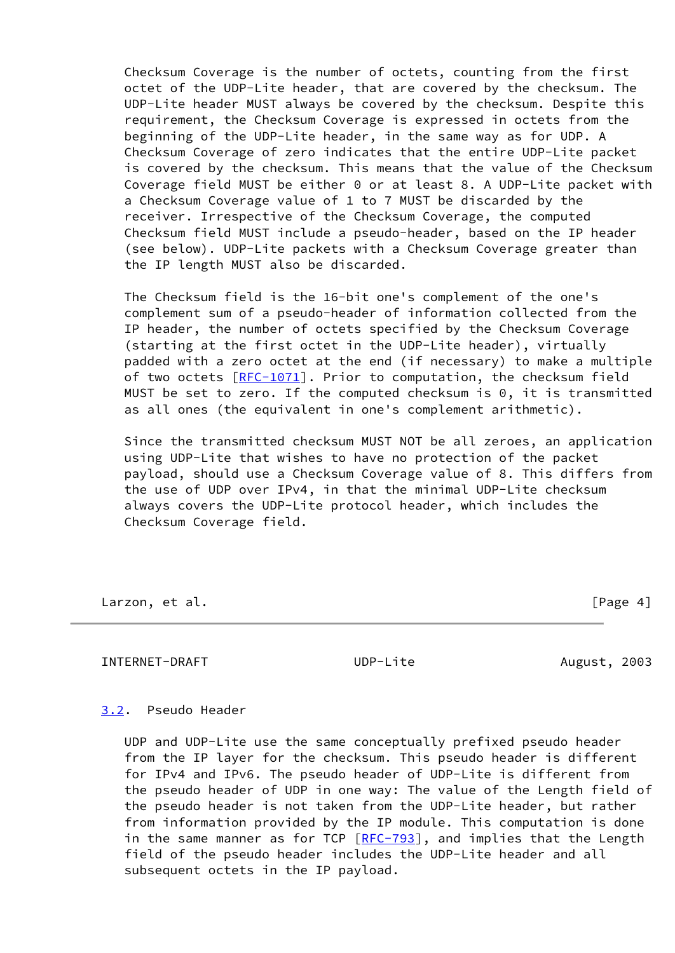Checksum Coverage is the number of octets, counting from the first octet of the UDP-Lite header, that are covered by the checksum. The UDP-Lite header MUST always be covered by the checksum. Despite this requirement, the Checksum Coverage is expressed in octets from the beginning of the UDP-Lite header, in the same way as for UDP. A Checksum Coverage of zero indicates that the entire UDP-Lite packet is covered by the checksum. This means that the value of the Checksum Coverage field MUST be either 0 or at least 8. A UDP-Lite packet with a Checksum Coverage value of 1 to 7 MUST be discarded by the receiver. Irrespective of the Checksum Coverage, the computed Checksum field MUST include a pseudo-header, based on the IP header (see below). UDP-Lite packets with a Checksum Coverage greater than the IP length MUST also be discarded.

 The Checksum field is the 16-bit one's complement of the one's complement sum of a pseudo-header of information collected from the IP header, the number of octets specified by the Checksum Coverage (starting at the first octet in the UDP-Lite header), virtually padded with a zero octet at the end (if necessary) to make a multiple of two octets  $[RFC-1071]$  $[RFC-1071]$ . Prior to computation, the checksum field MUST be set to zero. If the computed checksum is 0, it is transmitted as all ones (the equivalent in one's complement arithmetic).

 Since the transmitted checksum MUST NOT be all zeroes, an application using UDP-Lite that wishes to have no protection of the packet payload, should use a Checksum Coverage value of 8. This differs from the use of UDP over IPv4, in that the minimal UDP-Lite checksum always covers the UDP-Lite protocol header, which includes the Checksum Coverage field.

Larzon, et al. [Page 4]

<span id="page-4-1"></span>INTERNET-DRAFT UDP-Lite August, 2003

## <span id="page-4-0"></span>[3.2](#page-4-0). Pseudo Header

 UDP and UDP-Lite use the same conceptually prefixed pseudo header from the IP layer for the checksum. This pseudo header is different for IPv4 and IPv6. The pseudo header of UDP-Lite is different from the pseudo header of UDP in one way: The value of the Length field of the pseudo header is not taken from the UDP-Lite header, but rather from information provided by the IP module. This computation is done in the same manner as for TCP  $[RFC-793]$  $[RFC-793]$  $[RFC-793]$ , and implies that the Length field of the pseudo header includes the UDP-Lite header and all subsequent octets in the IP payload.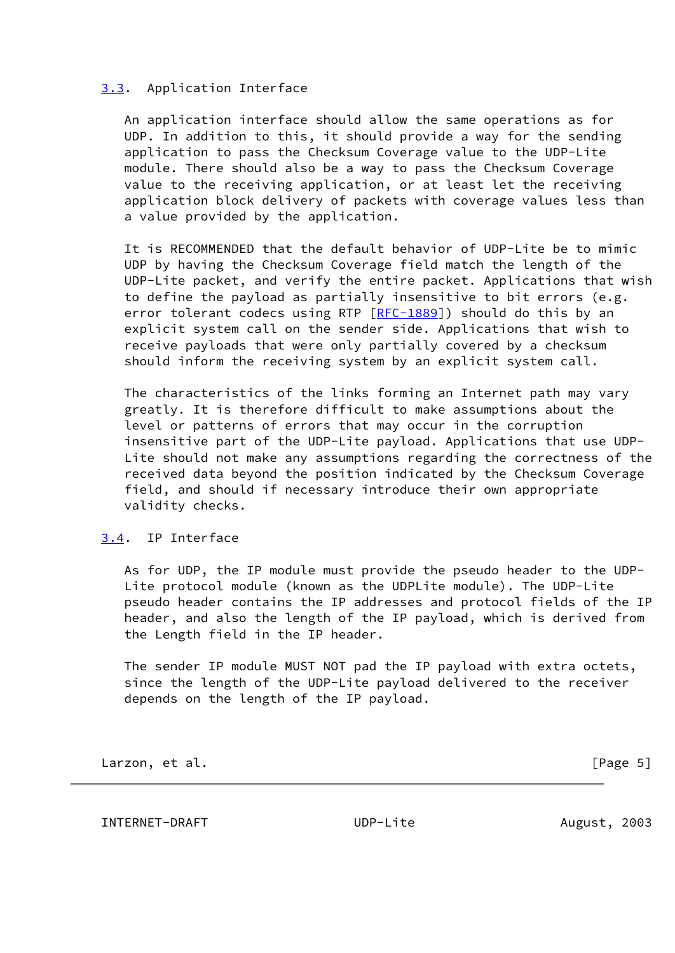## <span id="page-5-0"></span>[3.3](#page-5-0). Application Interface

 An application interface should allow the same operations as for UDP. In addition to this, it should provide a way for the sending application to pass the Checksum Coverage value to the UDP-Lite module. There should also be a way to pass the Checksum Coverage value to the receiving application, or at least let the receiving application block delivery of packets with coverage values less than a value provided by the application.

 It is RECOMMENDED that the default behavior of UDP-Lite be to mimic UDP by having the Checksum Coverage field match the length of the UDP-Lite packet, and verify the entire packet. Applications that wish to define the payload as partially insensitive to bit errors (e.g. error tolerant codecs using RTP [\[RFC-1889](https://datatracker.ietf.org/doc/pdf/rfc1889)]) should do this by an explicit system call on the sender side. Applications that wish to receive payloads that were only partially covered by a checksum should inform the receiving system by an explicit system call.

 The characteristics of the links forming an Internet path may vary greatly. It is therefore difficult to make assumptions about the level or patterns of errors that may occur in the corruption insensitive part of the UDP-Lite payload. Applications that use UDP- Lite should not make any assumptions regarding the correctness of the received data beyond the position indicated by the Checksum Coverage field, and should if necessary introduce their own appropriate validity checks.

## <span id="page-5-1"></span>[3.4](#page-5-1). IP Interface

 As for UDP, the IP module must provide the pseudo header to the UDP- Lite protocol module (known as the UDPLite module). The UDP-Lite pseudo header contains the IP addresses and protocol fields of the IP header, and also the length of the IP payload, which is derived from the Length field in the IP header.

 The sender IP module MUST NOT pad the IP payload with extra octets, since the length of the UDP-Lite payload delivered to the receiver depends on the length of the IP payload.

Larzon, et al. [Page 5]

<span id="page-5-2"></span>INTERNET-DRAFT UDP-Lite August, 2003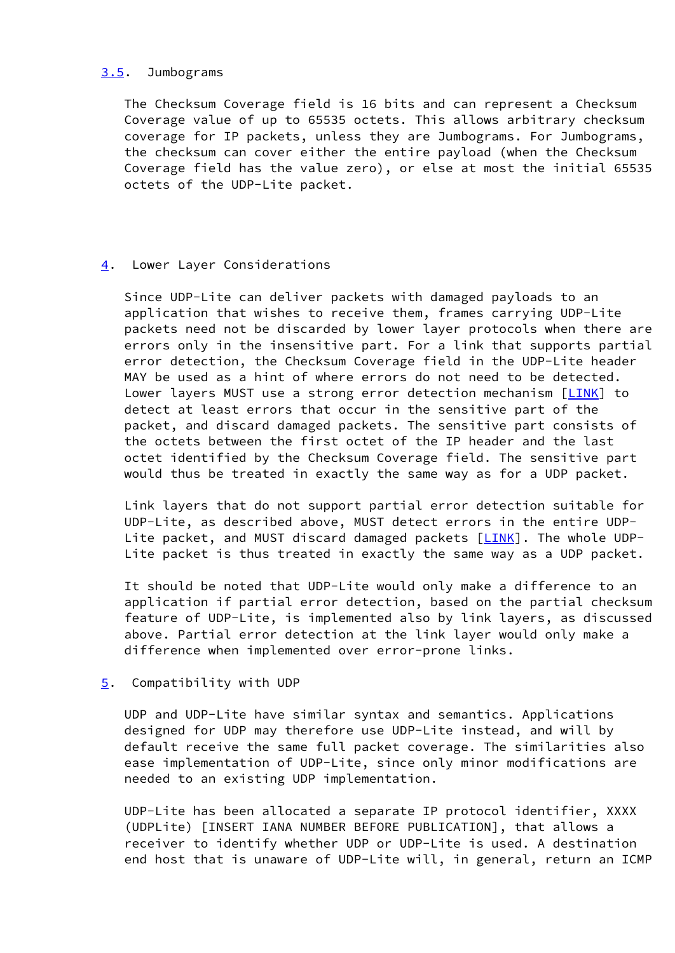#### <span id="page-6-0"></span>[3.5](#page-6-0). Jumbograms

 The Checksum Coverage field is 16 bits and can represent a Checksum Coverage value of up to 65535 octets. This allows arbitrary checksum coverage for IP packets, unless they are Jumbograms. For Jumbograms, the checksum can cover either the entire payload (when the Checksum Coverage field has the value zero), or else at most the initial 65535 octets of the UDP-Lite packet.

## <span id="page-6-1"></span>[4](#page-6-1). Lower Layer Considerations

 Since UDP-Lite can deliver packets with damaged payloads to an application that wishes to receive them, frames carrying UDP-Lite packets need not be discarded by lower layer protocols when there are errors only in the insensitive part. For a link that supports partial error detection, the Checksum Coverage field in the UDP-Lite header MAY be used as a hint of where errors do not need to be detected. Lower layers MUST use a strong error detection mechanism [\[LINK](#page-10-5)] to detect at least errors that occur in the sensitive part of the packet, and discard damaged packets. The sensitive part consists of the octets between the first octet of the IP header and the last octet identified by the Checksum Coverage field. The sensitive part would thus be treated in exactly the same way as for a UDP packet.

 Link layers that do not support partial error detection suitable for UDP-Lite, as described above, MUST detect errors in the entire UDP- Lite packet, and MUST discard damaged packets [[LINK\]](#page-10-5). The whole UDP-Lite packet is thus treated in exactly the same way as a UDP packet.

 It should be noted that UDP-Lite would only make a difference to an application if partial error detection, based on the partial checksum feature of UDP-Lite, is implemented also by link layers, as discussed above. Partial error detection at the link layer would only make a difference when implemented over error-prone links.

## <span id="page-6-2"></span>[5](#page-6-2). Compatibility with UDP

 UDP and UDP-Lite have similar syntax and semantics. Applications designed for UDP may therefore use UDP-Lite instead, and will by default receive the same full packet coverage. The similarities also ease implementation of UDP-Lite, since only minor modifications are needed to an existing UDP implementation.

 UDP-Lite has been allocated a separate IP protocol identifier, XXXX (UDPLite) [INSERT IANA NUMBER BEFORE PUBLICATION], that allows a receiver to identify whether UDP or UDP-Lite is used. A destination end host that is unaware of UDP-Lite will, in general, return an ICMP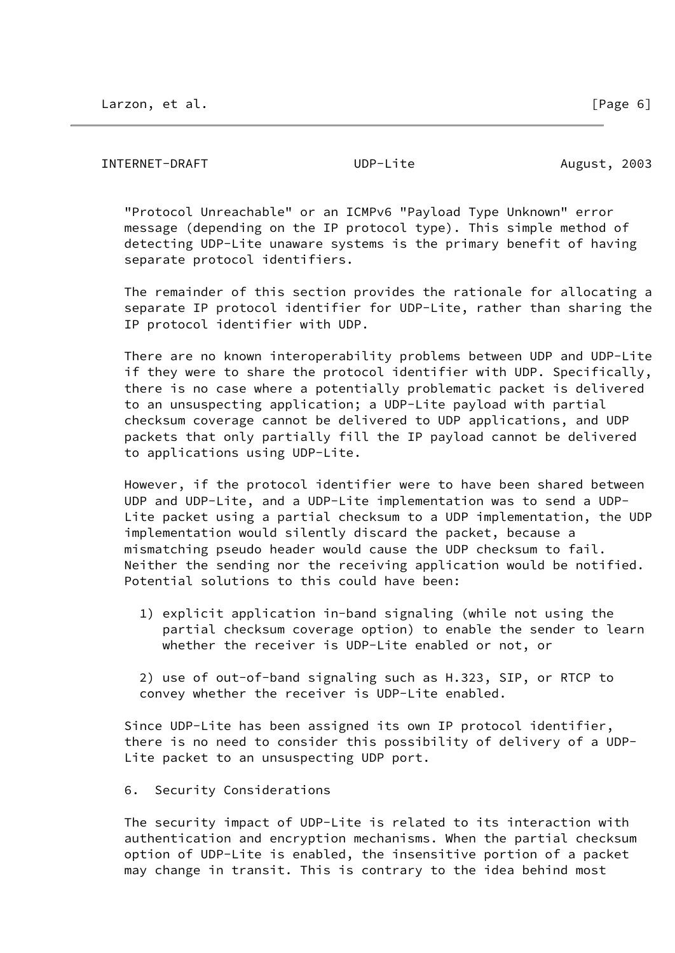#### <span id="page-7-0"></span>INTERNET-DRAFT UDP-Lite August, 2003

 "Protocol Unreachable" or an ICMPv6 "Payload Type Unknown" error message (depending on the IP protocol type). This simple method of detecting UDP-Lite unaware systems is the primary benefit of having separate protocol identifiers.

 The remainder of this section provides the rationale for allocating a separate IP protocol identifier for UDP-Lite, rather than sharing the IP protocol identifier with UDP.

 There are no known interoperability problems between UDP and UDP-Lite if they were to share the protocol identifier with UDP. Specifically, there is no case where a potentially problematic packet is delivered to an unsuspecting application; a UDP-Lite payload with partial checksum coverage cannot be delivered to UDP applications, and UDP packets that only partially fill the IP payload cannot be delivered to applications using UDP-Lite.

 However, if the protocol identifier were to have been shared between UDP and UDP-Lite, and a UDP-Lite implementation was to send a UDP- Lite packet using a partial checksum to a UDP implementation, the UDP implementation would silently discard the packet, because a mismatching pseudo header would cause the UDP checksum to fail. Neither the sending nor the receiving application would be notified. Potential solutions to this could have been:

 1) explicit application in-band signaling (while not using the partial checksum coverage option) to enable the sender to learn whether the receiver is UDP-Lite enabled or not, or

 2) use of out-of-band signaling such as H.323, SIP, or RTCP to convey whether the receiver is UDP-Lite enabled.

 Since UDP-Lite has been assigned its own IP protocol identifier, there is no need to consider this possibility of delivery of a UDP- Lite packet to an unsuspecting UDP port.

6. Security Considerations

 The security impact of UDP-Lite is related to its interaction with authentication and encryption mechanisms. When the partial checksum option of UDP-Lite is enabled, the insensitive portion of a packet may change in transit. This is contrary to the idea behind most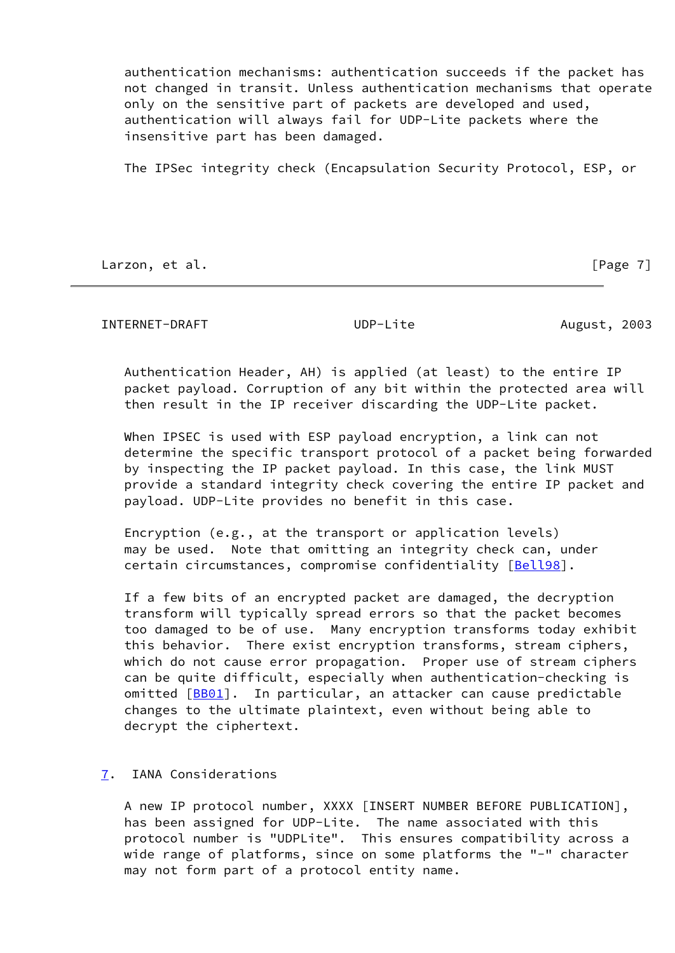authentication mechanisms: authentication succeeds if the packet has not changed in transit. Unless authentication mechanisms that operate only on the sensitive part of packets are developed and used, authentication will always fail for UDP-Lite packets where the insensitive part has been damaged.

The IPSec integrity check (Encapsulation Security Protocol, ESP, or

Larzon, et al. [Page 7]

<span id="page-8-1"></span>INTERNET-DRAFT UDP-Lite August, 2003

 Authentication Header, AH) is applied (at least) to the entire IP packet payload. Corruption of any bit within the protected area will then result in the IP receiver discarding the UDP-Lite packet.

When IPSEC is used with ESP payload encryption, a link can not determine the specific transport protocol of a packet being forwarded by inspecting the IP packet payload. In this case, the link MUST provide a standard integrity check covering the entire IP packet and payload. UDP-Lite provides no benefit in this case.

 Encryption (e.g., at the transport or application levels) may be used. Note that omitting an integrity check can, under certain circumstances, compromise confidentiality [[Bell98](#page-10-6)].

 If a few bits of an encrypted packet are damaged, the decryption transform will typically spread errors so that the packet becomes too damaged to be of use. Many encryption transforms today exhibit this behavior. There exist encryption transforms, stream ciphers, which do not cause error propagation. Proper use of stream ciphers can be quite difficult, especially when authentication-checking is omitted [\[BB01](#page-10-7)]. In particular, an attacker can cause predictable changes to the ultimate plaintext, even without being able to decrypt the ciphertext.

## <span id="page-8-0"></span>[7](#page-8-0). IANA Considerations

 A new IP protocol number, XXXX [INSERT NUMBER BEFORE PUBLICATION], has been assigned for UDP-Lite. The name associated with this protocol number is "UDPLite". This ensures compatibility across a wide range of platforms, since on some platforms the "-" character may not form part of a protocol entity name.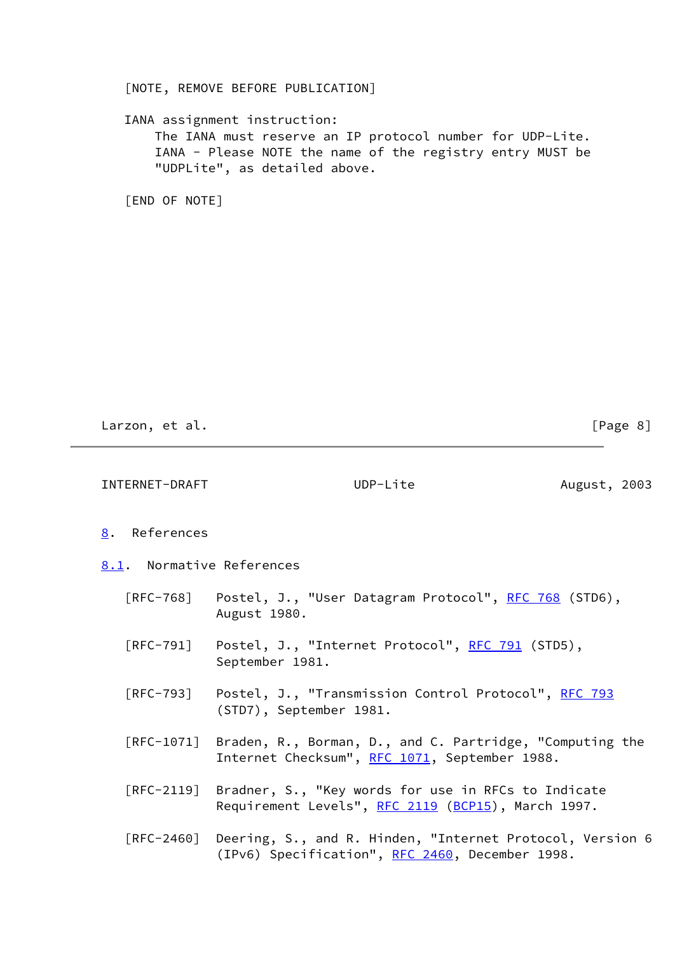## [NOTE, REMOVE BEFORE PUBLICATION]

# IANA assignment instruction:

 The IANA must reserve an IP protocol number for UDP-Lite. IANA - Please NOTE the name of the registry entry MUST be "UDPLite", as detailed above.

[END OF NOTE]

Larzon, et al. [Page 8]

<span id="page-9-2"></span><span id="page-9-1"></span><span id="page-9-0"></span>

| INTERNET-DRAFT                          |                         | UDP-Lite                                                                                                             | August, 2003 |
|-----------------------------------------|-------------------------|----------------------------------------------------------------------------------------------------------------------|--------------|
| 8. References                           |                         |                                                                                                                      |              |
| 8.1. Normative References               |                         |                                                                                                                      |              |
| $\lceil \mathsf{RFC}\text{-}768\rceil$  | August 1980.            | Postel, J., "User Datagram Protocol", <u>RFC 768</u> (STD6),                                                         |              |
| $\lceil \mathsf{RFC}\text{-}791\rceil$  | September 1981.         | Postel, J., "Internet Protocol", <u>RFC 791</u> (STD5),                                                              |              |
| [RFC-793]                               | (STD7), September 1981. | Postel, J., "Transmission Control Protocol", RFC 793                                                                 |              |
| $\lceil \mathsf{RFC}\text{-1071}\rceil$ |                         | Braden, R., Borman, D., and C. Partridge, "Computing the<br>Internet Checksum", RFC 1071, September 1988.            |              |
|                                         |                         | [RFC-2119] Bradner, S., "Key words for use in RFCs to Indicate<br>Requirement Levels", RFC 2119 (BCP15), March 1997. |              |
| $\lceil \mathsf{RFC}\text{-}2460\rceil$ |                         | Deering, S., and R. Hinden, "Internet Protocol, Version 6<br>(IPv6) Specification", RFC 2460, December 1998.         |              |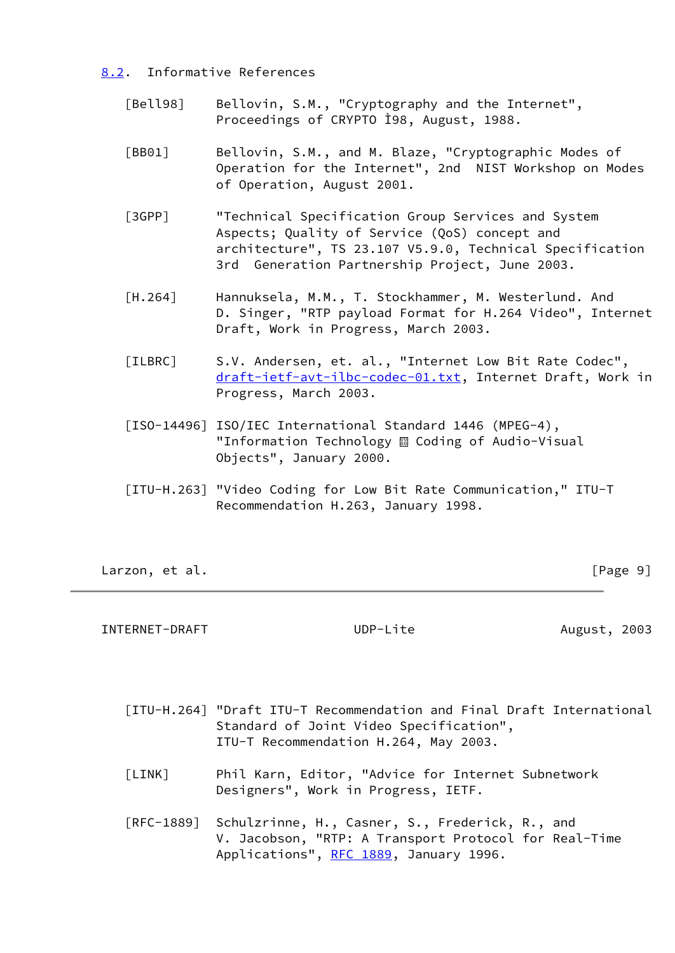- <span id="page-10-7"></span><span id="page-10-6"></span><span id="page-10-0"></span> [8.2](#page-10-0). Informative References
	- [Bell98] Bellovin, S.M., "Cryptography and the Internet", Proceedings of CRYPTO Ì98, August, 1988.
	- [BB01] Bellovin, S.M., and M. Blaze, "Cryptographic Modes of Operation for the Internet", 2nd NIST Workshop on Modes of Operation, August 2001.
	- [3GPP] **"Technical Specification Group Services and System**  Aspects; Quality of Service (QoS) concept and architecture", TS 23.107 V5.9.0, Technical Specification 3rd Generation Partnership Project, June 2003.
	- [H.264] Hannuksela, M.M., T. Stockhammer, M. Westerlund. And D. Singer, "RTP payload Format for H.264 Video", Internet Draft, Work in Progress, March 2003.
	- [ILBRC] S.V. Andersen, et. al., "Internet Low Bit Rate Codec", [draft-ietf-avt-ilbc-codec-01.txt](https://datatracker.ietf.org/doc/pdf/draft-ietf-avt-ilbc-codec-01.txt), Internet Draft, Work in Progress, March 2003.
	- [ISO-14496] ISO/IEC International Standard 1446 (MPEG-4), "Information Technology & Coding of Audio-Visual Objects", January 2000.
	- [ITU-H.263] "Video Coding for Low Bit Rate Communication," ITU-T Recommendation H.263, January 1998.

<span id="page-10-4"></span><span id="page-10-3"></span><span id="page-10-2"></span>Larzon, et al. **Example 2018** [Page 9]

<span id="page-10-1"></span>INTERNET-DRAFT UDP-Lite August, 2003

- [ITU-H.264] "Draft ITU-T Recommendation and Final Draft International Standard of Joint Video Specification", ITU-T Recommendation H.264, May 2003.
- <span id="page-10-5"></span> [LINK] Phil Karn, Editor, "Advice for Internet Subnetwork Designers", Work in Progress, IETF.
- [RFC-1889] Schulzrinne, H., Casner, S., Frederick, R., and V. Jacobson, "RTP: A Transport Protocol for Real-Time Applications", [RFC 1889,](https://datatracker.ietf.org/doc/pdf/rfc1889) January 1996.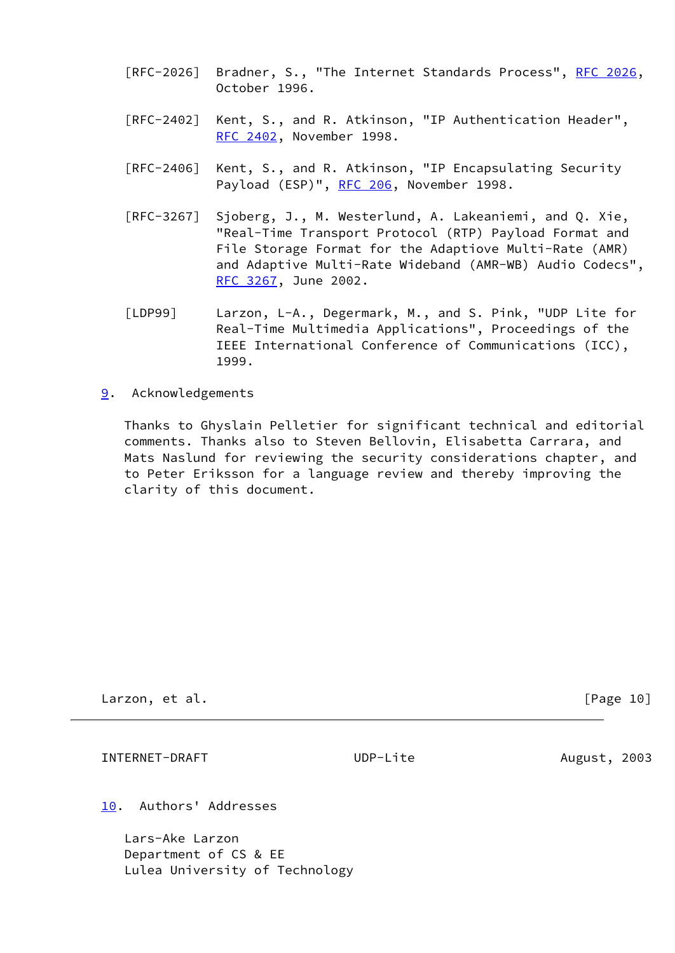- [RFC-2026] Bradner, S., "The Internet Standards Process", [RFC 2026,](https://datatracker.ietf.org/doc/pdf/rfc2026) October 1996.
- [RFC-2402] Kent, S., and R. Atkinson, "IP Authentication Header", [RFC 2402](https://datatracker.ietf.org/doc/pdf/rfc2402), November 1998.
- [RFC-2406] Kent, S., and R. Atkinson, "IP Encapsulating Security Payload (ESP)", [RFC 206](https://datatracker.ietf.org/doc/pdf/rfc206), November 1998.
- [RFC-3267] Sjoberg, J., M. Westerlund, A. Lakeaniemi, and Q. Xie, "Real-Time Transport Protocol (RTP) Payload Format and File Storage Format for the Adaptiove Multi-Rate (AMR) and Adaptive Multi-Rate Wideband (AMR-WB) Audio Codecs", [RFC 3267](https://datatracker.ietf.org/doc/pdf/rfc3267), June 2002.
- <span id="page-11-3"></span> [LDP99] Larzon, L-A., Degermark, M., and S. Pink, "UDP Lite for Real-Time Multimedia Applications", Proceedings of the IEEE International Conference of Communications (ICC), 1999.
- <span id="page-11-0"></span>[9](#page-11-0). Acknowledgements

 Thanks to Ghyslain Pelletier for significant technical and editorial comments. Thanks also to Steven Bellovin, Elisabetta Carrara, and Mats Naslund for reviewing the security considerations chapter, and to Peter Eriksson for a language review and thereby improving the clarity of this document.

Larzon, et al. [Page 10]

<span id="page-11-2"></span>INTERNET-DRAFT UDP-Lite August, 2003

<span id="page-11-1"></span>[10.](#page-11-1) Authors' Addresses

 Lars-Ake Larzon Department of CS & EE Lulea University of Technology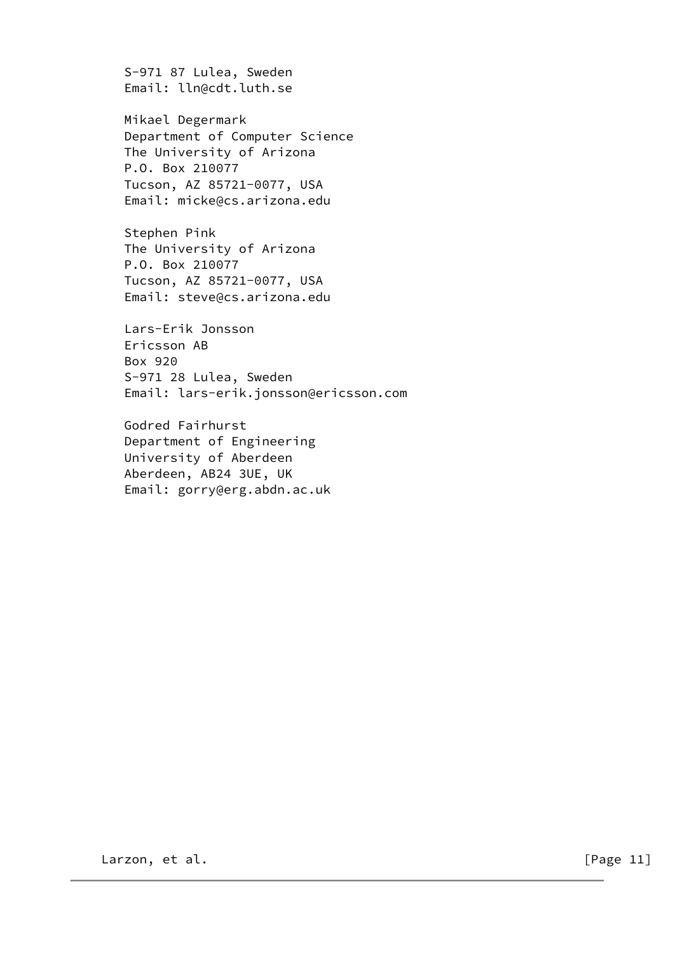S-971 87 Lulea, Sweden Email: lln@cdt.luth.se

 Mikael Degermark Department of Computer Science The University of Arizona P.O. Box 210077 Tucson, AZ 85721-0077, USA Email: micke@cs.arizona.edu

 Stephen Pink The University of Arizona P.O. Box 210077 Tucson, AZ 85721-0077, USA Email: steve@cs.arizona.edu

 Lars-Erik Jonsson Ericsson AB Box 920 S-971 28 Lulea, Sweden Email: lars-erik.jonsson@ericsson.com

 Godred Fairhurst Department of Engineering University of Aberdeen Aberdeen, AB24 3UE, UK Email: gorry@erg.abdn.ac.uk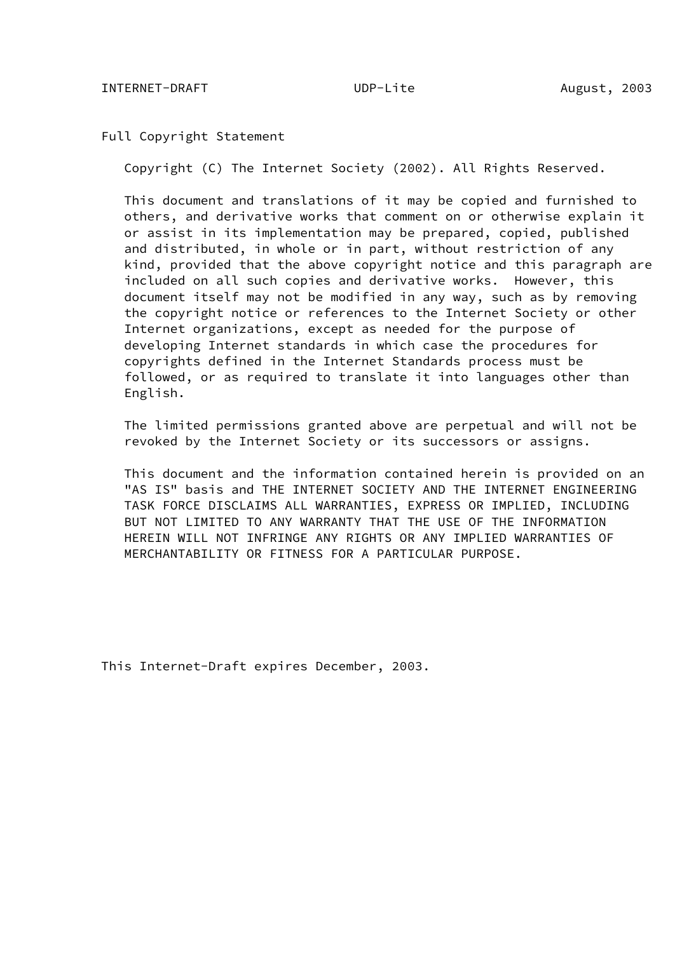Full Copyright Statement

Copyright (C) The Internet Society (2002). All Rights Reserved.

 This document and translations of it may be copied and furnished to others, and derivative works that comment on or otherwise explain it or assist in its implementation may be prepared, copied, published and distributed, in whole or in part, without restriction of any kind, provided that the above copyright notice and this paragraph are included on all such copies and derivative works. However, this document itself may not be modified in any way, such as by removing the copyright notice or references to the Internet Society or other Internet organizations, except as needed for the purpose of developing Internet standards in which case the procedures for copyrights defined in the Internet Standards process must be followed, or as required to translate it into languages other than English.

 The limited permissions granted above are perpetual and will not be revoked by the Internet Society or its successors or assigns.

 This document and the information contained herein is provided on an "AS IS" basis and THE INTERNET SOCIETY AND THE INTERNET ENGINEERING TASK FORCE DISCLAIMS ALL WARRANTIES, EXPRESS OR IMPLIED, INCLUDING BUT NOT LIMITED TO ANY WARRANTY THAT THE USE OF THE INFORMATION HEREIN WILL NOT INFRINGE ANY RIGHTS OR ANY IMPLIED WARRANTIES OF MERCHANTABILITY OR FITNESS FOR A PARTICULAR PURPOSE.

This Internet-Draft expires December, 2003.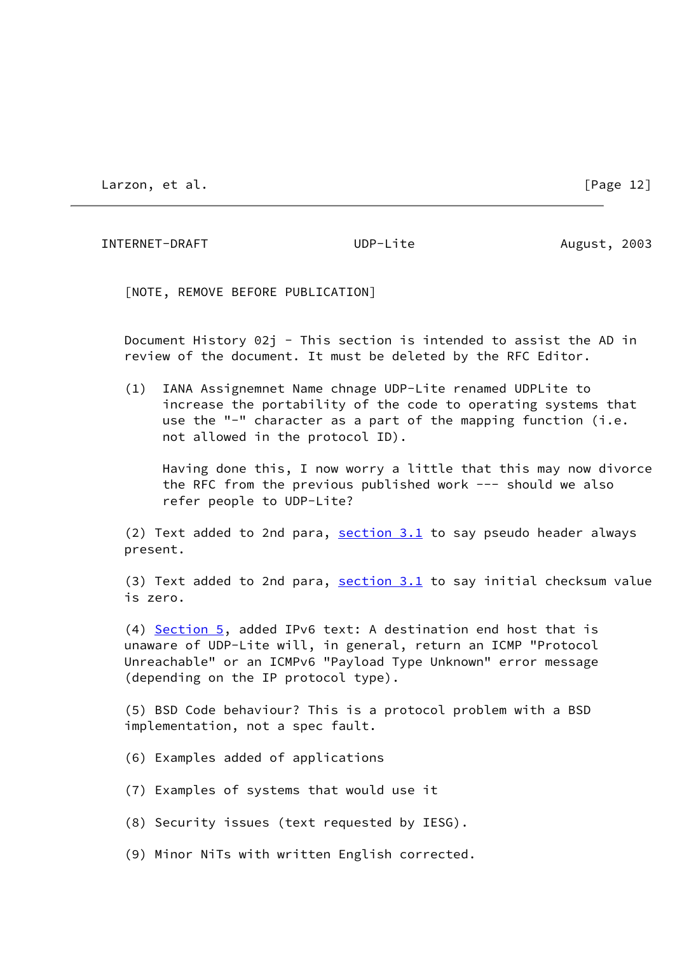Larzon, et al. [Page 12]

INTERNET-DRAFT UDP-Lite August, 2003

[NOTE, REMOVE BEFORE PUBLICATION]

 Document History 02j - This section is intended to assist the AD in review of the document. It must be deleted by the RFC Editor.

 (1) IANA Assignemnet Name chnage UDP-Lite renamed UDPLite to increase the portability of the code to operating systems that use the "-" character as a part of the mapping function (i.e. not allowed in the protocol ID).

 Having done this, I now worry a little that this may now divorce the RFC from the previous published work --- should we also refer people to UDP-Lite?

(2) Text added to 2nd para,  $section 3.1$  to say pseudo header always present.

 (3) Text added to 2nd para, [section 3.1](#page-3-1) to say initial checksum value is zero.

 (4) [Section 5](#page-6-2), added IPv6 text: A destination end host that is unaware of UDP-Lite will, in general, return an ICMP "Protocol Unreachable" or an ICMPv6 "Payload Type Unknown" error message (depending on the IP protocol type).

 (5) BSD Code behaviour? This is a protocol problem with a BSD implementation, not a spec fault.

- (6) Examples added of applications
- (7) Examples of systems that would use it
- (8) Security issues (text requested by IESG).
- (9) Minor NiTs with written English corrected.